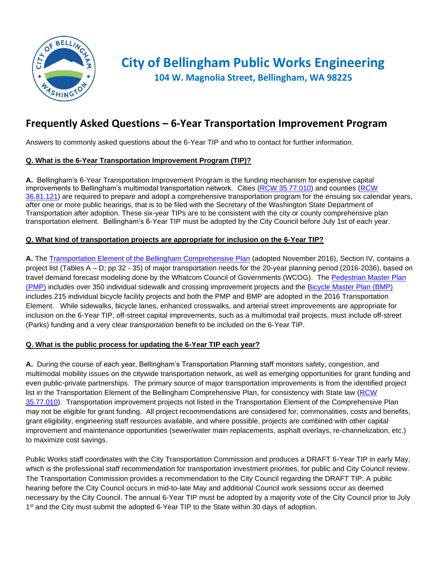

# **City of Bellingham Public Works Engineering**

**104 W. Magnolia Street, Bellingham, WA 98225**

### **Frequently Asked Questions – 6-Year Transportation Improvement Program**

Answers to commonly asked questions about the 6-Year TIP and who to contact for further information.

#### **Q. What is the 6-Year Transportation Improvement Program (TIP)?**

**A.** Bellingham's 6-Year Transportation Improvement Program is the funding mechanism for expensive capital improvements to Bellingham's multimodal transportation network. Cities [\(RCW 35.77.010\)](http://www.mrsc.org/mc/rcw/RCW%20%2035%20%20TITLE/RCW%20%2035%20.%2077%20%20CHAPTER/RCW%20%2035%20.%2077%20.010.htm) and counties [\(RCW](http://www.mrsc.org/mc/rcw/RCW%20%2036%20%20TITLE/RCW%20%2036%20.%2081%20%20CHAPTER/RCW%20%2036%20.%2081%20.121.htm)  [36.81.121\)](http://www.mrsc.org/mc/rcw/RCW%20%2036%20%20TITLE/RCW%20%2036%20.%2081%20%20CHAPTER/RCW%20%2036%20.%2081%20.121.htm) are required to prepare and adopt a comprehensive transportation program for the ensuing six calendar years, after one or more public hearings, that is to be filed with the Secretary of the Washington State Department of Transportation after adoption. These six-year TIPs are to be consistent with the city or county comprehensive plan transportation element. Bellingham's 6-Year TIP must be adopted by the City Council before July 1st of each year.

#### **Q. What kind of transportation projects are appropriate for inclusion on the 6-Year TIP?**

**A.** The [Transportation Element of the Bellingham Comprehensive Plan](https://www.cob.org/Documents/planning/comprehensive-plan/2016-multimodal-transportation.pdf) (adopted November 2016), Section IV, contains a project list (Tables A – D; pp 32 - 35) of major transportation needs for the 20-year planning period (2016-2036), based on travel demand forecast modeling done by the Whatcom Council of Governments (WCOG). The [Pedestrian Master Plan](https://www.cob.org/services/planning/transportation/pages/pedestrian-master-planning.aspx)  [\(PMP\)](https://www.cob.org/services/planning/transportation/pages/pedestrian-master-planning.aspx) includes over 350 individual sidewalk and crossing improvement projects and the [Bicycle Master Plan](https://www.cob.org/services/planning/transportation/pages/bike-master-planning.aspx) (BMP) includes 215 individual bicycle facility projects and both the PMP and BMP are adopted in the 2016 Transportation Element. While sidewalks, bicycle lanes, enhanced crosswalks, and arterial street improvements are appropriate for inclusion on the 6-Year TIP, off-street capital improvements, such as a multimodal trail projects, must include off-street (Parks) funding and a very clear *transportation* benefit to be included on the 6-Year TIP.

#### **Q. What is the public process for updating the 6-Year TIP each year?**

**A.** During the course of each year, Bellingham's Transportation Planning staff monitors safety, congestion, and multimodal mobility issues on the citywide transportation network, as well as emerging opportunities for grant funding and even public-private partnerships. The primary source of major transportation improvements is from the identified project list in the Transportation Element of the Bellingham Comprehensive Plan, for consistency with State law [\(RCW](http://www.mrsc.org/mc/rcw/RCW%20%2035%20%20TITLE/RCW%20%2035%20.%2077%20%20CHAPTER/RCW%20%2035%20.%2077%20.010.htm)  [35.77.010\)](http://www.mrsc.org/mc/rcw/RCW%20%2035%20%20TITLE/RCW%20%2035%20.%2077%20%20CHAPTER/RCW%20%2035%20.%2077%20.010.htm). Transportation improvement projects not listed in the Transportation Element of the Comprehensive Plan may not be eligible for grant funding. All project recommendations are considered for, commonalities, costs and benefits, grant eligibility, engineering staff resources available, and where possible, projects are combined with other capital improvement and maintenance opportunities (sewer/water main replacements, asphalt overlays, re-channelization, etc.) to maximize cost savings.

Public Works staff coordinates with the City Transportation Commission and produces a DRAFT 6-Year TIP in early May, which is the professional staff recommendation for transportation investment priorities, for public and City Council review. The Transportation Commission provides a recommendation to the City Council regarding the DRAFT TIP. A public hearing before the City Council occurs in mid-to-late May and additional Council work sessions occur as deemed necessary by the City Council. The annual 6-Year TIP must be adopted by a majority vote of the City Council prior to July 1<sup>st</sup> and the City must submit the adopted 6-Year TIP to the State within 30 days of adoption.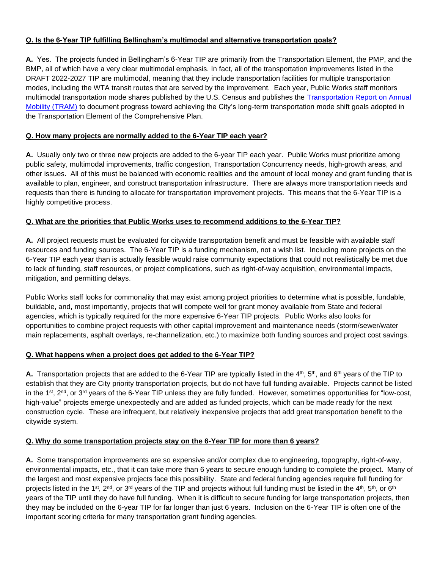#### **Q. Is the 6-Year TIP fulfilling Bellingham's multimodal and alternative transportation goals?**

**A.** Yes. The projects funded in Bellingham's 6-Year TIP are primarily from the Transportation Element, the PMP, and the BMP, all of which have a very clear multimodal emphasis. In fact, all of the transportation improvements listed in the DRAFT 2022-2027 TIP are multimodal, meaning that they include transportation facilities for multiple transportation modes, including the WTA transit routes that are served by the improvement. Each year, Public Works staff monitors multimodal transportation mode shares published by the U.S. Census and publishes the [Transportation Report on Annual](https://www.cob.org/Documents/pw/transportation/2017_TRAM_FinalPublish.pdf)  [Mobility \(TRAM\)](https://www.cob.org/Documents/pw/transportation/2017_TRAM_FinalPublish.pdf) to document progress toward achieving the City's long-term transportation mode shift goals adopted in the Transportation Element of the Comprehensive Plan.

#### **Q. How many projects are normally added to the 6-Year TIP each year?**

**A.** Usually only two or three new projects are added to the 6-year TIP each year. Public Works must prioritize among public safety, multimodal improvements, traffic congestion, Transportation Concurrency needs, high-growth areas, and other issues. All of this must be balanced with economic realities and the amount of local money and grant funding that is available to plan, engineer, and construct transportation infrastructure. There are always more transportation needs and requests than there is funding to allocate for transportation improvement projects. This means that the 6-Year TIP is a highly competitive process.

#### **Q. What are the priorities that Public Works uses to recommend additions to the 6-Year TIP?**

**A.** All project requests must be evaluated for citywide transportation benefit and must be feasible with available staff resources and funding sources. The 6-Year TIP is a funding mechanism, not a wish list. Including more projects on the 6-Year TIP each year than is actually feasible would raise community expectations that could not realistically be met due to lack of funding, staff resources, or project complications, such as right-of-way acquisition, environmental impacts, mitigation, and permitting delays.

Public Works staff looks for commonality that may exist among project priorities to determine what is possible, fundable, buildable, and, most importantly, projects that will compete well for grant money available from State and federal agencies, which is typically required for the more expensive 6-Year TIP projects. Public Works also looks for opportunities to combine project requests with other capital improvement and maintenance needs (storm/sewer/water main replacements, asphalt overlays, re-channelization, etc.) to maximize both funding sources and project cost savings.

#### **Q. What happens when a project does get added to the 6-Year TIP?**

**A.** Transportation projects that are added to the 6-Year TIP are typically listed in the 4<sup>th</sup>, 5<sup>th</sup>, and 6<sup>th</sup> years of the TIP to establish that they are City priority transportation projects, but do not have full funding available. Projects cannot be listed in the 1<sup>st</sup>, 2<sup>nd</sup>, or 3<sup>rd</sup> years of the 6-Year TIP unless they are fully funded. However, sometimes opportunities for "low-cost, high-value" projects emerge unexpectedly and are added as funded projects, which can be made ready for the next construction cycle. These are infrequent, but relatively inexpensive projects that add great transportation benefit to the citywide system.

#### **Q. Why do some transportation projects stay on the 6-Year TIP for more than 6 years?**

**A.** Some transportation improvements are so expensive and/or complex due to engineering, topography, right-of-way, environmental impacts, etc., that it can take more than 6 years to secure enough funding to complete the project. Many of the largest and most expensive projects face this possibility. State and federal funding agencies require full funding for projects listed in the 1<sup>st</sup>, 2<sup>nd</sup>, or 3<sup>rd</sup> years of the TIP and projects without full funding must be listed in the 4<sup>th</sup>, 5<sup>th</sup>, or 6<sup>th</sup> years of the TIP until they do have full funding. When it is difficult to secure funding for large transportation projects, then they may be included on the 6-year TIP for far longer than just 6 years. Inclusion on the 6-Year TIP is often one of the important scoring criteria for many transportation grant funding agencies.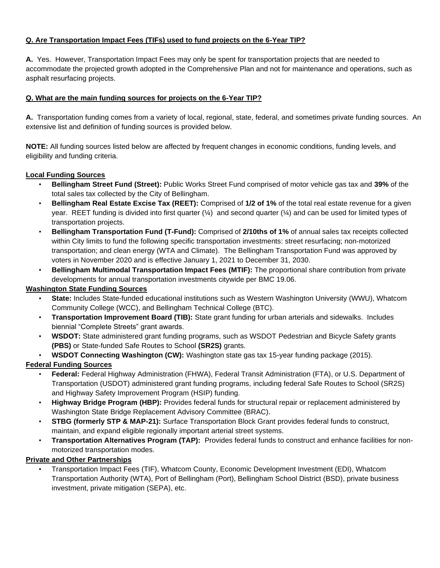#### **Q. Are Transportation Impact Fees (TIFs) used to fund projects on the 6-Year TIP?**

**A.** Yes. However, Transportation Impact Fees may only be spent for transportation projects that are needed to accommodate the projected growth adopted in the Comprehensive Plan and not for maintenance and operations, such as asphalt resurfacing projects.

#### **Q. What are the main funding sources for projects on the 6-Year TIP?**

**A.** Transportation funding comes from a variety of local, regional, state, federal, and sometimes private funding sources. An extensive list and definition of funding sources is provided below.

**NOTE:** All funding sources listed below are affected by frequent changes in economic conditions, funding levels, and eligibility and funding criteria.

#### **Local Funding Sources**

- **Bellingham Street Fund (Street):** Public Works Street Fund comprised of motor vehicle gas tax and **39%** of the total sales tax collected by the City of Bellingham.
- **Bellingham Real Estate Excise Tax (REET):** Comprised of **1/2 of 1%** of the total real estate revenue for a given year. REET funding is divided into first quarter  $(\frac{1}{4})$  and second quarter  $(\frac{1}{4})$  and can be used for limited types of transportation projects.
- **Bellingham Transportation Fund (T-Fund):** Comprised of **2/10ths of 1%** of annual sales tax receipts collected within City limits to fund the following specific transportation investments: street resurfacing; non-motorized transportation; and clean energy (WTA and Climate). The Bellingham Transportation Fund was approved by voters in November 2020 and is effective January 1, 2021 to December 31, 2030.
- **Bellingham Multimodal Transportation Impact Fees (MTIF):** The proportional share contribution from private developments for annual transportation investments citywide per BMC 19.06.

#### **Washington State Funding Sources**

- **State:** Includes State-funded educational institutions such as Western Washington University (WWU), Whatcom Community College (WCC), and Bellingham Technical College (BTC).
- **Transportation Improvement Board (TIB):** State grant funding for urban arterials and sidewalks. Includes biennial "Complete Streets" grant awards.
- **WSDOT:** State administered grant funding programs, such as WSDOT Pedestrian and Bicycle Safety grants **(PBS)** or State-funded Safe Routes to School **(SR2S)** grants.
- **WSDOT Connecting Washington (CW):** Washington state gas tax 15-year funding package (2015).

#### **Federal Funding Sources**

- **Federal:** Federal Highway Administration (FHWA), Federal Transit Administration (FTA), or U.S. Department of Transportation (USDOT) administered grant funding programs, including federal Safe Routes to School (SR2S) and Highway Safety Improvement Program (HSIP) funding.
- **Highway Bridge Program (HBP):** Provides federal funds for structural repair or replacement administered by Washington State Bridge Replacement Advisory Committee (BRAC).
- **STBG (formerly STP & MAP-21):** Surface Transportation Block Grant provides federal funds to construct, maintain, and expand eligible regionally important arterial street systems.
- **Transportation Alternatives Program (TAP):** Provides federal funds to construct and enhance facilities for nonmotorized transportation modes.

#### **Private and Other Partnerships**

• Transportation Impact Fees (TIF), Whatcom County, Economic Development Investment (EDI), Whatcom Transportation Authority (WTA), Port of Bellingham (Port), Bellingham School District (BSD), private business investment, private mitigation (SEPA), etc.